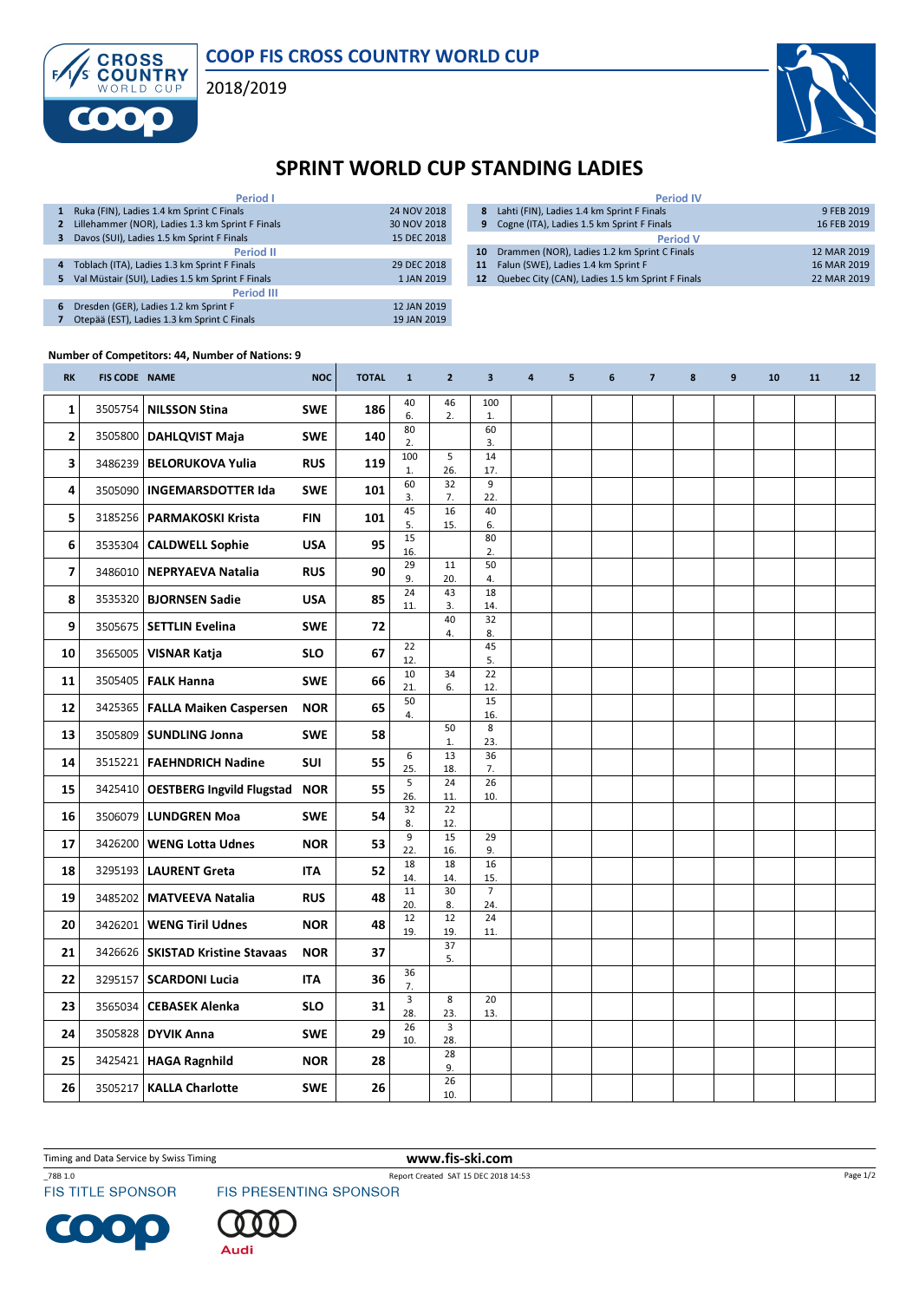

CROSS<br>COUNTRY 2018/2019



## SPRINT WORLD CUP STANDING LADIES

| <b>Period I</b>   |                                                  |             |  |  |  |  |  |  |  |  |
|-------------------|--------------------------------------------------|-------------|--|--|--|--|--|--|--|--|
| 1                 | Ruka (FIN), Ladies 1.4 km Sprint C Finals        | 24 NOV 2018 |  |  |  |  |  |  |  |  |
| $\mathbf{2}$      | Lillehammer (NOR), Ladies 1.3 km Sprint F Finals | 30 NOV 2018 |  |  |  |  |  |  |  |  |
| 3                 | Davos (SUI), Ladies 1.5 km Sprint F Finals       | 15 DEC 2018 |  |  |  |  |  |  |  |  |
| <b>Period II</b>  |                                                  |             |  |  |  |  |  |  |  |  |
| 4                 | Toblach (ITA), Ladies 1.3 km Sprint F Finals     | 29 DEC 2018 |  |  |  |  |  |  |  |  |
| 5                 | Val Müstair (SUI), Ladies 1.5 km Sprint F Finals | 1 JAN 2019  |  |  |  |  |  |  |  |  |
| <b>Period III</b> |                                                  |             |  |  |  |  |  |  |  |  |
| 6                 | Dresden (GER), Ladies 1.2 km Sprint F            | 12 JAN 2019 |  |  |  |  |  |  |  |  |
|                   | Otepää (EST), Ladies 1.3 km Sprint C Finals      | 19 JAN 2019 |  |  |  |  |  |  |  |  |

|    | <b>Period IV</b>                                 |             |
|----|--------------------------------------------------|-------------|
| 8  | Lahti (FIN), Ladies 1.4 km Sprint F Finals       | 9 FEB 2019  |
| 9  | Cogne (ITA), Ladies 1.5 km Sprint F Finals       | 16 FEB 2019 |
|    | <b>Period V</b>                                  |             |
| 10 | Drammen (NOR), Ladies 1.2 km Sprint C Finals     | 12 MAR 2019 |
| 11 | Falun (SWE), Ladies 1.4 km Sprint F              | 16 MAR 2019 |
| 12 | Quebec City (CAN), Ladies 1.5 km Sprint F Finals | 22 MAR 2019 |

## Number of Competitors: 44, Number of Nations: 9

E

| <b>RK</b>    | <b>FIS CODE NAME</b> |                                         | <b>NOC</b> | <b>TOTAL</b> | $\mathbf{1}$          | $\overline{2}$        | 3                     | 4 | 5 | 6 | $\overline{7}$ | 8 | 9 | 10 | 11 | 12 |
|--------------|----------------------|-----------------------------------------|------------|--------------|-----------------------|-----------------------|-----------------------|---|---|---|----------------|---|---|----|----|----|
| $\mathbf{1}$ | 3505754              | <b>NILSSON Stina</b>                    | <b>SWE</b> | 186          | 40<br>6.              | 46<br>2.              | 100<br>1.             |   |   |   |                |   |   |    |    |    |
| 2            |                      | 3505800   DAHLQVIST Maja                | <b>SWE</b> | 140          | 80<br>2.              |                       | 60<br>3.              |   |   |   |                |   |   |    |    |    |
| 3            |                      | 3486239   BELORUKOVA Yulia              | <b>RUS</b> | 119          | 100<br>1.             | 5<br>26.              | 14<br>17.             |   |   |   |                |   |   |    |    |    |
| 4            |                      | 3505090   INGEMARSDOTTER Ida            | <b>SWE</b> | 101          | 60<br>3.              | 32<br>7.              | 9<br>22.              |   |   |   |                |   |   |    |    |    |
| 5            |                      | 3185256   PARMAKOSKI Krista             | <b>FIN</b> | 101          | 45<br>5.              | 16                    | 40                    |   |   |   |                |   |   |    |    |    |
| 6            |                      | 3535304   CALDWELL Sophie               | <b>USA</b> | 95           | 15                    | 15.                   | 6.<br>80              |   |   |   |                |   |   |    |    |    |
| 7            |                      | 3486010   NEPRYAEVA Natalia             | <b>RUS</b> | 90           | 16.<br>29             | 11                    | 2.<br>50              |   |   |   |                |   |   |    |    |    |
| 8            |                      | 3535320   <b>BJORNSEN Sadie</b>         | <b>USA</b> | 85           | 9.<br>24              | 20.<br>43             | 4.<br>18              |   |   |   |                |   |   |    |    |    |
| 9            |                      | 3505675   SETTLIN Evelina               | <b>SWE</b> | 72           | 11.                   | 3.<br>40              | 14.<br>32             |   |   |   |                |   |   |    |    |    |
| 10           |                      | 3565005   VISNAR Katja                  | <b>SLO</b> | 67           | 22                    | 4.                    | 8.<br>45              |   |   |   |                |   |   |    |    |    |
| 11           |                      | 3505405   FALK Hanna                    | <b>SWE</b> | 66           | 12.<br>10             | 34                    | 5.<br>22              |   |   |   |                |   |   |    |    |    |
| 12           |                      | 3425365   FALLA Maiken Caspersen        | <b>NOR</b> | 65           | 21.<br>50             | 6.                    | 12.<br>15             |   |   |   |                |   |   |    |    |    |
| 13           |                      | 3505809   SUNDLING Jonna                | <b>SWE</b> | 58           | 4.                    | 50                    | 16.<br>8              |   |   |   |                |   |   |    |    |    |
|              |                      |                                         |            |              | $\boldsymbol{6}$      | 1.<br>13              | 23.<br>36             |   |   |   |                |   |   |    |    |    |
| 14           |                      | 3515221   FAEHNDRICH Nadine             | <b>SUI</b> | 55           | 25.<br>5              | 18.<br>24             | 7.<br>26              |   |   |   |                |   |   |    |    |    |
| 15           |                      | 3425410   OESTBERG Ingvild Flugstad NOR |            | 55           | 26.<br>32             | 11.<br>22             | 10.                   |   |   |   |                |   |   |    |    |    |
| 16           |                      | 3506079   LUNDGREN Moa                  | <b>SWE</b> | 54           | 8.<br>9               | 12.<br>15             | 29                    |   |   |   |                |   |   |    |    |    |
| 17           | 3426200              | <b>WENG Lotta Udnes</b>                 | <b>NOR</b> | 53           | 22.<br>18             | 16.<br>18             | 9.<br>16              |   |   |   |                |   |   |    |    |    |
| 18           |                      | 3295193   LAURENT Greta                 | ITA        | 52           | 14.                   | 14.                   | 15.                   |   |   |   |                |   |   |    |    |    |
| 19           |                      | 3485202   MATVEEVA Natalia              | <b>RUS</b> | 48           | 11<br>20.             | 30<br>8.              | $\overline{7}$<br>24. |   |   |   |                |   |   |    |    |    |
| 20           |                      | 3426201   WENG Tiril Udnes              | <b>NOR</b> | 48           | 12<br>19.             | 12<br>19.             | 24<br>11.             |   |   |   |                |   |   |    |    |    |
| 21           |                      | 3426626   SKISTAD Kristine Stavaas      | <b>NOR</b> | 37           |                       | 37<br>5.              |                       |   |   |   |                |   |   |    |    |    |
| 22           | 3295157              | <b>SCARDONI Lucia</b>                   | <b>ITA</b> | 36           | 36<br>7.              |                       |                       |   |   |   |                |   |   |    |    |    |
| 23           | 3565034              | <b>CEBASEK Alenka</b>                   | <b>SLO</b> | 31           | $\overline{3}$<br>28. | $\overline{8}$<br>23. | 20<br>13.             |   |   |   |                |   |   |    |    |    |
| 24           |                      | 3505828 DYVIK Anna                      | <b>SWE</b> | 29           | 26<br>10.             | 3<br>28.              |                       |   |   |   |                |   |   |    |    |    |
| 25           |                      | 3425421   HAGA Ragnhild                 | <b>NOR</b> | 28           |                       | 28<br>9.              |                       |   |   |   |                |   |   |    |    |    |
| 26           | 3505217              | <b>KALLA Charlotte</b>                  | <b>SWE</b> | 26           |                       | 26<br>10.             |                       |   |   |   |                |   |   |    |    |    |

Timing and Data Service by Swiss Timing WWW.fis-ski.com



C  $\bullet$ 

\_78B 1.0 Report Created SAT 15 DEC 2018 14:53<br>FIS TITLE SPONSOR FIS PRESENTING SPONSOR



Audi

Page 1/2